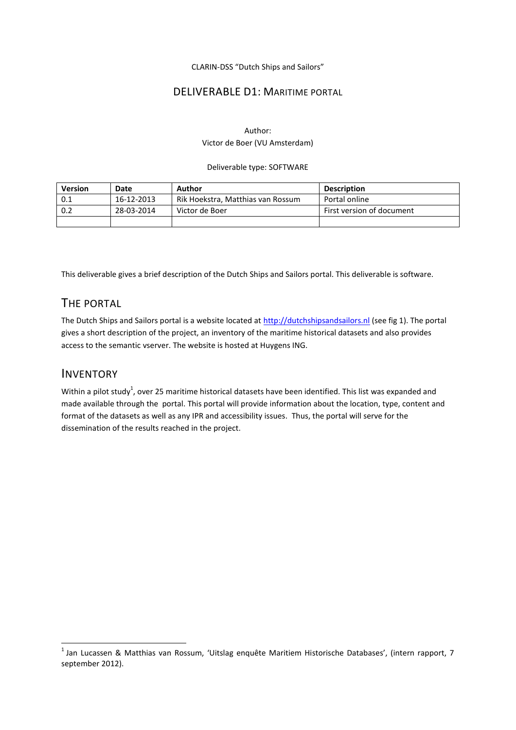CLARIN-DSS "Dutch Ships and Sailors"

## DELIVERABLE D1: MARITIME PORTAL

### Author: Victor de Boer (VU Amsterdam)

#### Deliverable type: SOFTWARE

| <b>Version</b> | Date       | Author                            | <b>Description</b>        |
|----------------|------------|-----------------------------------|---------------------------|
| 0.1            | 16-12-2013 | Rik Hoekstra, Matthias van Rossum | Portal online             |
| 0.2            | 28-03-2014 | Victor de Boer                    | First version of document |
|                |            |                                   |                           |

This deliverable gives a brief description of the Dutch Ships and Sailors portal. This deliverable is software.

# THE PORTAL

The Dutch Ships and Sailors portal is a website located at [http://dutchshipsandsailors.nl](http://dutchshipsandsailors.nl/) (see fig 1). The portal gives a short description of the project, an inventory of the maritime historical datasets and also provides access to the semantic vserver. The website is hosted at Huygens ING.

## INVENTORY

**.** 

Within a pilot study<sup>1</sup>, over 25 maritime historical datasets have been identified. This list was expanded and made available through the portal. This portal will provide information about the location, type, content and format of the datasets as well as any IPR and accessibility issues. Thus, the portal will serve for the dissemination of the results reached in the project.

<sup>&</sup>lt;sup>1</sup> Jan Lucassen & Matthias van Rossum, 'Uitslag enquête Maritiem Historische Databases', (intern rapport, 7 september 2012).